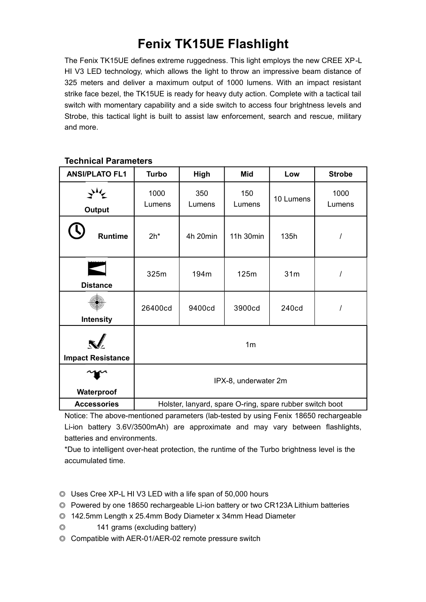# **Fenix TK15UE Flashlight**

The Fenix TK15UE defines extreme ruggedness. This light employs the new CREE XP-L HI V3 LED technology, which allows the light to throw an impressive beam distance of 325 meters and deliver a maximum output of 1000 lumens. With an impact resistant strike face bezel, the TK15UE is ready for heavy duty action. Complete with a tactical tail switch with momentary capability and a side switch to access four brightness levels and Strobe, this tactical light is built to assist law enforcement, search and rescue, military and more.

| <b>ANSI/PLATO FL1</b>    | <b>Turbo</b>                                             | High          | <b>Mid</b>    | Low       | <b>Strobe</b>  |
|--------------------------|----------------------------------------------------------|---------------|---------------|-----------|----------------|
| <b>Output</b>            | 1000<br>Lumens                                           | 350<br>Lumens | 150<br>Lumens | 10 Lumens | 1000<br>Lumens |
| <b>Runtime</b>           | $2h^*$                                                   | 4h 20min      | 11h 30min     | 135h      |                |
| <b>Distance</b>          | 325m                                                     | 194m          | 125m          | 31m       |                |
| <b>Intensity</b>         | 26400cd                                                  | 9400cd        | 3900cd        | 240cd     |                |
| <b>Impact Resistance</b> | 1 <sub>m</sub>                                           |               |               |           |                |
| Waterproof               | IPX-8, underwater 2m                                     |               |               |           |                |
| <b>Accessories</b>       | Holster, lanyard, spare O-ring, spare rubber switch boot |               |               |           |                |

### **Technical Parameters**

Notice: The above-mentioned parameters (lab-tested by using Fenix 18650 rechargeable Li-ion battery 3.6V/3500mAh) are approximate and may vary between flashlights, batteries and environments.

\*Due to intelligent over-heat protection, the runtime of the Turbo brightness level is the accumulated time.

- ◎ Uses Cree XP-L HI V3 LED with a life span of 50,000 hours
- ◎ Powered by one 18650 rechargeable Li-ion battery or two CR123A Lithium batteries
- ◎ 142.5mm Length x 25.4mm Body Diameter x 34mm Head Diameter
- ◎ 141 grams (excluding battery)
- ◎ Compatible with AER-01/AER-02 remote pressure switch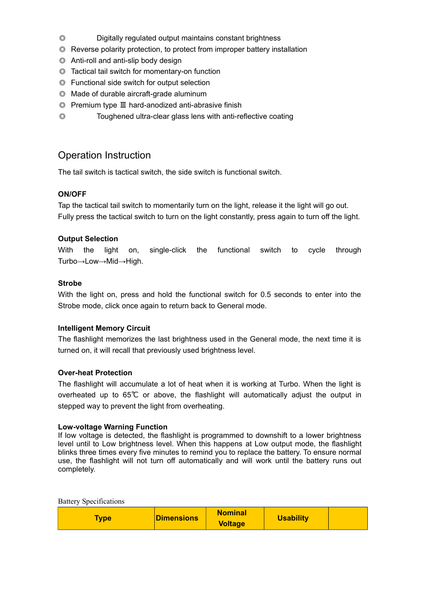- ◎ Digitally regulated output maintains constant brightness
- ◎ Reverse polarity protection, to protect from improper battery installation
- ◎ Anti-roll and anti-slip body design
- ◎ Tactical tail switch for momentary-on function
- ◎ Functional side switch for output selection
- ◎ Made of durable aircraft-grade aluminum
- © Premium type III hard-anodized anti-abrasive finish
- ◎ Toughened ultra-clear glass lens with anti-reflective coating

## Operation Instruction

The tail switch is tactical switch, the side switch is functional switch.

#### **ON/OFF**

Tap the tactical tail switch to momentarily turn on the light, release it the light will go out. Fully press the tactical switch to turn on the light constantly, press again to turn off the light.

#### **Output Selection**

With the light on, single-click the functional switch to cycle through Turbo→Low→Mid→High.

#### **Strobe**

With the light on, press and hold the functional switch for 0.5 seconds to enter into the Strobe mode, click once again to return back to General mode.

#### **Intelligent Memory Circuit**

The flashlight memorizes the last brightness used in the General mode, the next time it is turned on, it will recall that previously used brightness level.

#### **Over-heat Protection**

The flashlight will accumulate a lot of heat when it is working at Turbo. When the light is overheated up to  $65^{\circ}$  or above, the flashlight will automatically adjust the output in stepped way to prevent the light from overheating.

#### **Low-voltage Warning Function**

If low voltage is detected, the flashlight is programmed to downshift to a lower brightness level until to Low brightness level. When this happens at Low output mode, the flashlight blinks three times every five minutes to remind you to replace the battery. To ensure normal use, the flashlight will not turn off automatically and will work until the battery runs out completely.

| <b>Battery Specifications</b> |                   |                                  |                  |  |
|-------------------------------|-------------------|----------------------------------|------------------|--|
| <b>Type</b>                   | <b>Dimensions</b> | <b>Nominal</b><br><b>Voltage</b> | <b>Usability</b> |  |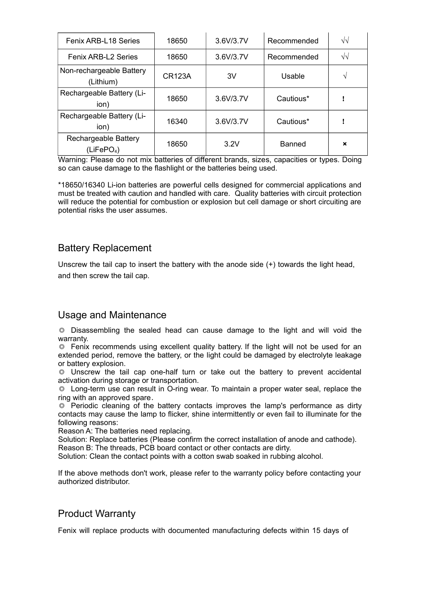| Fenix ARB-L18 Series                           | 18650         | 3.6V/3.7V | Recommended   | $\sqrt{2}$                |
|------------------------------------------------|---------------|-----------|---------------|---------------------------|
| <b>Fenix ARB-L2 Series</b>                     | 18650         | 3.6V/3.7V | Recommended   | $\sqrt{2}$                |
| Non-rechargeable Battery<br>(Lithium)          | <b>CR123A</b> | 3V        | Usable        |                           |
| Rechargeable Battery (Li-<br>ion)              | 18650         | 3.6V/3.7V | Cautious*     |                           |
| Rechargeable Battery (Li-<br>ion)              | 16340         | 3.6V/3.7V | Cautious*     |                           |
| Rechargeable Battery<br>(LiFePO <sub>4</sub> ) | 18650         | 3.2V      | <b>Banned</b> | $\boldsymbol{\mathsf{x}}$ |

Warning: Please do not mix batteries of different brands, sizes, capacities or types. Doing so can cause damage to the flashlight or the batteries being used.

\*18650/16340 Li-ion batteries are powerful cells designed for commercial applications and must be treated with caution and handled with care. Quality batteries with circuit protection will reduce the potential for combustion or explosion but cell damage or short circuiting are potential risks the user assumes.

## Battery Replacement

Unscrew the tail cap to insert the battery with the anode side (+) towards the light head, and then screw the tail cap.

## Usage and Maintenance

◎ Disassembling the sealed head can cause damage to the light and will void the warranty.

◎ Fenix recommends using excellent quality battery. If the light will not be used for an extended period, remove the battery, or the light could be damaged by electrolyte leakage or battery explosion.

◎ Unscrew the tail cap one-half turn or take out the battery to prevent accidental activation during storage or transportation.

◎ Long-term use can result in O-ring wear. To maintain a proper water seal, replace the ring with an approved spare.

◎ Periodic cleaning of the battery contacts improves the lamp's performance as dirty contacts may cause the lamp to flicker, shine intermittently or even fail to illuminate for the following reasons:

Reason A: The batteries need replacing.

Solution: Replace batteries (Please confirm the correct installation of anode and cathode). Reason B: The threads, PCB board contact or other contacts are dirty.

Solution: Clean the contact points with a cotton swab soaked in rubbing alcohol.

If the above methods don't work, please refer to the warranty policy before contacting your authorized distributor.

## Product Warranty

Fenix will replace products with documented manufacturing defects within 15 days of